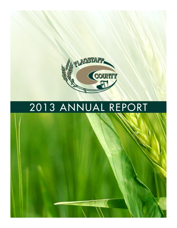

# 2013 ANNUAL REPORT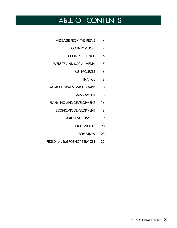# TABLE OF CONTENTS

- MESSAGE FROM THE REEVE 4
	- COUNTY VISION 4
	- COUNTY COUNCIL 5
- WEBSITE AND SOCIAL MEDIA 5
	- MSI PROJECTS 6
		- FINANCE 8
- AGRICULTURAL SERVICE BOARD 10
	- ASSESSMENT 13
- PLANNING AND DEVELOPMENT 16
	- ECONOMIC DEVELOPMENT 18
		- PROTECTIVE SERVICES 19
			- PUBLIC WORKS 20
				- RECREATION 28
- REGIONAL EMERGENCY SERVICES 33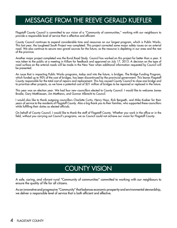# MESSAGE FROM THE REEVE GERALD KUEFLER

Flagstaff County Council is committed to our vision of a "Community of communities," working with our neighbours to provide a responsible level of service that is effective and efficient.

County Council continues to expend considerable time and resources on our largest program, which is Public Works. This last year, the Lougheed South Project was completed. This project corrected some major safety issues on an arterial road. We also continue to secure new gravel sources for the future, as the resource is depleting in our area and the rest of the province.

Another major project completed was the Rural Road Study. Council has worked on this project for better than a year. It was taken to the public at a meeting in Killam for feedback and approved on July 17, 2013. A decision on the type of road surface on the arterial roads will be made in the New Year when additional information requested by Council will be presented.

An issue that is impacting Public Works programs, today and into the future, is bridges. The Bridge Funding Program, which funded up to 90% of the cost of bridges, has been discontinued by the provincial government. This leaves Flagstaff County responsible for the total cost of repairs and replacement. This has caused County Council to close one bridge and to prioritize other projects, as we have a potential cost of \$21 million of bridges to be repaired or replaced in the future.

This year was an election year. We had four new councillors elected to County Council. I would like to welcome James Brodie, Gary Matthiessen, Jim Matthews, and Gunnar Albrecht to Council.

I would also like to thank outgoing councillors Charlotte Curtis, Henry Hays, Rick Bergseth, and Mike Kueber for their years of service to the residents of Flagstaff County. Also a big thank you to their families, who supported these councillors while fulfilling their duties as elected officials.

On behalf of County Council, I would like to thank the staff of Flagstaff County. Whether you work in the office or in the field, without you carrying out Council's programs, we as Council could not achieve our vision for Flagstaff County.

# COUNTY VISION

A safe, caring, and vibrant rural "Community of communities" committed to working with our neighbours to ensure the quality of life for all citizens.

As an innovative and progressive "Community" that balances economic prosperity and environmental stewardship, we deliver a responsible level of service that is both efficient and effective.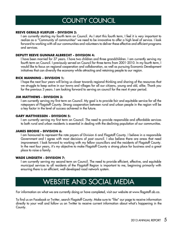# COUNTY COUNCIL

#### **REEVE GERALD KUEFLER - Division 2:**

I am currently starting my fourth term on Council. As I start this fourth term, I feel it is very important to realize as a "Community of communities" we need to be innovative to offer a high level of service. I look forward to working with all our communities and volunteers to deliver these effective and efficient programs and services.

# **Deputy Reeve GUNNAR ALBRECHT - Division 4:**

I have been married for 37 years. I have two children and three grandchildren. I am currently serving my fourth term on Council. I previously served on Council for three terms from 2001-2010. In my fourth term, I would like to focus on regional cooperation and collaboration, as well as pursuing Economic Development initiatives that can diversify the economy while attracting and retaining people to our region.

# **RICK MANNING - Division 1:**

I hope the next four years will bring us closer towards regional thinking and sharing of the resources that we struggle to keep active in our towns and villages for all our citizens, young and old, alike. Thank you for the previous 3 years. I am looking forward to serving on council for the next 4-year period.

# **JIM MATTHEWS - Division 3:**

I am currently serving my first term on Council. My goal is to provide fair and equitable service for all the ratepayers of Flagstaff County. Strong cooperation between rural and urban people in the region will be a key factor in the level of success achieved in the future.

### **GARY MATTHIESSEN - Division 5:**

I am currently serving my first term on Council. The need to provide responsible and affordable services to both rural and urban residents is essential in dealing with the declining population of our communities.

# **JAMES BRODIE - Division 6:**

I am honoured to represent the rate payers of Division 6 and Flagstaff County. I believe in a responsible Government and I agree with most decisions of past council. I also believe there are areas that need improvement. I look forward to working with my fellow councillors and the residents of Flagstaff County. In the next four years, it's my objective to make Flagstaff County a strong place for business and a great place to raise a family.

#### **WADE LINDSETH - Division 7:**

I am currently serving my second term on Council. The need to provide efficient, effective, and equitable municipal services to all residents of the Flagstaff Region is important to me, beginning primarily with ensuring there is an efficient, well-developed road network system.

# WEBSITE AND SOCIAL MEDIA

For information on what we are currently doing or have completed, visit our website at www.flagstaff.ab.ca.

To find us on Facebook or Twitter, search Flagstaff County. Make sure to "like" our page to receive information directly to your wall and follow us on Twitter to receive current information about what's happening in the County.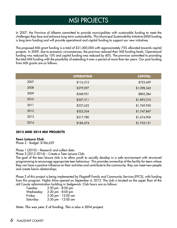# MSI PROJECTS

In 2007, the Province of Alberta committed to provide municipalities with sustainable funding to meet the challenges they face and enhance long-term sustainability. This Municipal Sustainability Initiative (MSI) funding is long term funding and will provide operational and capital funding to support our new initiatives.

The proposed MSI grant funding is a total of \$31,000,000 with approximately 75% allocated towards capital projects. In 2009, due to economic circumstances, the province reduced their MSI funding levels. Operational funding was reduced by 10% and capital funding was reduced by 40%. The province committed to providing the total MSI funding with the possibility of extending it over a period of more than ten years. Our past funding from MSI grants are as follows:

|      | <b>OPERATING</b> | <b>CAPITAL</b> |
|------|------------------|----------------|
| 2007 | \$116,312        | \$753,459      |
| 2008 | \$379,097        | \$1,098,345    |
| 2009 | \$368,951        | \$805,284      |
| 2010 | \$357,311        | \$1,893,310    |
| 2011 | \$337,622        | \$1,769,950    |
| 2012 | \$323,334        | \$1,747,847    |
| 2013 | \$317,780        | \$1,674,900    |
| 2014 | \$184,574        | \$1,753,151    |

#### **2013 AND 2014 MSI PROJECTS**

#### **Teen Leisure Club**

Phase 2 - Budget: \$184,629

Phase 1 (2010) – Research and collect data.

Phase 2 (2012-2014) – Create a Teen Leisure Club.

The goal of the teen leisure club is to allow youth to socially develop in a safe environment with structured programming to encourage appropriate teen behaviour. This provides ownership of the facility for teens where they can have a positive influence on their activities and contribute to the community; they can meet new people and create future relationships.

Phase 2 of this project is being implemented by Flagstaff Family and Community Services (FFCS), with funding from this program. Nights Alive opened on September 4, 2012. The club is located on the upper floor of the old County administration building in Sedgewick. Club hours are as follows:

| Tuesday:   | $3:30$ pm $-8:00$ pm   |
|------------|------------------------|
| Wednesday: | $3:30$ pm $-8:00$ pm   |
| Friday:    | $3:30$ pm $-12:00$ am  |
| Saturday:  | $3:30$ pm - $12:00$ am |

*Note: This was year 2 of funding. This is also a 2014 project.*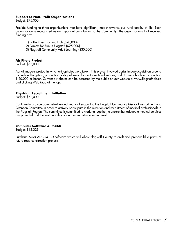#### **Support to Non-Profit Organizations**

Budget: \$75,000

Provide funding to three organizations that have significant impact towards our rural quality of life. Each organization is recognized as an important contribution to the Community. The organizations that received funding are:

- 1) Battle River Training Hub (\$20,000)
- 2) Parents for Fun in Flagstaff (\$25,000)
- 3) Flagstaff Community Adult Learning (\$30,000)

# **Air Photo Project**

Budget: \$65,000

Aerial imagery project in which orthophotos were taken. This project involved aerial image acquisition ground control and targeting, production of digital true colour orthorectified images, and 30 cm orthophoto production 1:20,000 or better. Current air photos can be accessed by the public on our website at www.flagstaff.ab.ca and clicking Web Map at the top.

#### **Physician Recruitment Initiative**

Budget: \$72,000

Continue to provide administrative and financial support to the Flagstaff Community Medical Recruitment and Retention Committee in order to actively participate in the retention and recruitment of medical professionals in the Flagstaff Region. The committee is committed to working together to ensure that adequate medical services are provided and the sustainability of our communities is maintained.

#### **Computer Software AutoCAD**

Budget: \$12,029

Purchase AutoCAD Civil 3D software which will allow Flagstaff County to draft and prepare blue prints of future road construction projects.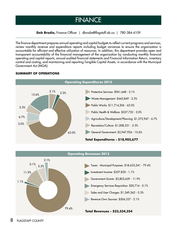# **FINANCE**

**Deb Brodie,** Finance Officer | dbrodie@flagstaff.ab.ca | 780-384-4109

The finance department prepares annual operating and capital budgets to reflect current programs and services, review monthly revenue and expenditure reports including budget variances to ensure the organization is accountable for efficient and effective utilization of resources. In addition, this department provides open and transparent accountability of the financial management of the organization by conducting monthly financial operating and capital reports, annual audited financial statements and Financial Information Return, inventory control and costing, and maintaining and reporting Tangible Capital Assets, in accordance with the Municipal Government Act (MGA).



# **SUMMARY OF OPERATIONS**

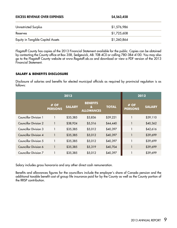| <b>EXCESS REVENUE OVER EXPENSES</b> | \$4,563,458 |
|-------------------------------------|-------------|
| Unrestricted Surplus                | \$1,576,986 |
| Reserves                            | \$1,725,608 |
| Equity in Tangible Capital Assets   | \$1,260,864 |

Flagstaff County has copies of the 2013 Financial Statement available for the public. Copies can be obtained by contacting the County office at Box 358, Sedgewick, AB. T0B 4C0 or calling 780-384-4100. You may also go to the Flagstaff County website at www.flagstaff.ab.ca and download or view a PDF version of the 2013 Financial Statement.

# **SALARY & BENEFITS DISCLOSURE**

Disclosure of salaries and benefits for elected municipal officials as required by provincial regulation is as follows:

| 2013                         |                          |               |                                                      | 2012         |                        |               |
|------------------------------|--------------------------|---------------|------------------------------------------------------|--------------|------------------------|---------------|
|                              | $#$ OF<br><b>PERSONS</b> | <b>SALARY</b> | <b>BENEFITS</b><br>$\mathbf{a}$<br><b>ALLOWANCES</b> | <b>TOTAL</b> | # OF<br><b>PERSONS</b> | <b>SALARY</b> |
| <b>Councillor Division 1</b> |                          | \$35,385      | \$3,836                                              | \$39,221     |                        | \$39,110      |
| <b>Councillor Division 2</b> |                          | \$38,924      | \$5,516                                              | \$44,440     |                        | \$40,362      |
| Councillor Division 3        |                          | \$35,385      | \$5,012                                              | \$40,397     |                        | \$42,616      |
| <b>Councillor Division 4</b> |                          | \$35,385      | \$5,012                                              | \$40,397     | 1                      | \$39,699      |
| <b>Councillor Division 5</b> |                          | \$35,385      | \$5,012                                              | \$40,397     | 1                      | \$39,699      |
| Councillor Division 6        |                          | \$35,385      | \$5,319                                              | \$40,704     | 1                      | \$39,699      |
| <b>Councillor Division 7</b> |                          | \$35,385      | \$5,012                                              | \$40,397     |                        | \$39,699      |

Salary includes gross honoraria and any other direct cash remuneration.

Benefits and allowances figures for the councillors include the employer's share of Canada pension and the additional taxable benefit cost of group life insurance paid for by the County as well as the County portion of the RRSP contribution.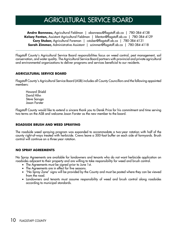# AGRICULTURAL SERVICE BOARD

**Andre Bonneau,** Agricultural Fieldman | abonneau@flagstaff.ab.ca | 780-384-4138 **Kelsey Fenton,** Assistant Agricultural Fieldman | kfenton@flagstaff.ab.ca | 780-384-4129 **Cory Stuber,** Agricultural Foreman | cstuber@flagstaff.ab.ca | 780-384-4131 **Sarah Zimmer,** Administrative Assistant | szimmer@flagstaff.ab.ca | 780-384-4118

Flagstaff County's Agricultural Service Board responsibilities focus on weed control, pest management, soil conservation, and water quality. The Agricultural Service Board partners with provincial and private agricultural and environmental organizations to deliver programs and services beneficial to our residents.

# **AgriculturAL Service Board**

Flagstaff County's Agricultural Service Board (ASB) includes all County Councillors and the following appointed members:

Howard Shield David Hihn Steve Saruga Jason Forster

Flagstaff County would like to extend a sincere thank you to Derek Price for his commitment and time serving two terms on the ASB and welcome Jason Forster as the new member to the board.

# **Roadside Brush and Weed Spraying**

The roadside weed spraying program was expanded to accommodate a two-year rotation with half of the county right-of-ways treated with herbicide. Crews leave a 500-foot buffer on each side of farmyards. Brush control will continue on a three-year rotation.

#### **No Spray Agreements**

No Spray Agreements are available for landowners and tenants who do not want herbicide application on roadsides adjacent to their property and are willing to take responsibility for weed and brush control.

- The Agreements must be signed prior to June 1st.
- The Agreements are in effect for five seasons.
- • "No Spray Zone" signs will be provided by the County and must be posted where they can be viewed from the road.
- Landowners and tenants must assume responsibility of weed and brush control along roadsides according to municipal standards.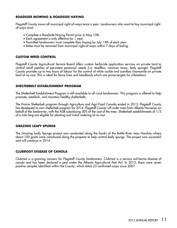# **ROADSIDE MOWING & ROADSIDE HAYING**

Flagstaff County mows all municipal right-of-ways twice a year. Landowners who want to hay municipal rightof-ways must:

- • Complete a Roadside Haying Permit prior to May 15th.
- • Each agreement is only effective for 1 year.
- Permitted landowners must complete their haying by July 15th of each year.
- Bales must be removed from municipal right-of-ways within 7 days of baling.

# **CUSTOM WEED CONTROL**

Flagstaff County Agricultural Service Board offers custom herbicide application services on private land to control small patches of persistent perennial weeds (i.e. toadflax, common tansy, leafy spurge). Flagstaff County provides up to two hours of labour for the control of white cockle and scentless chamomile on private land at no cost. This is ideal for fence lines and headlands which are prime targets for infestations.

#### **SHELTERBELT ESTABLISHMENT PROGRAM**

The Shelterbelt Establishment Program is still available to all rural landowners. This program is offered to help promote, establish, and maintain healthy shelterbelts.

The Prairie Shelterbelt program through Agriculture and Agri-Food Canada ended in 2013. Flagstaff County has developed its own shelterbelt program for 2014. Flagstaff County will order trees from Alberta Nurseries on behalf of the landowner, with the ASB subsidizing 50% of the cost of the trees. Shelterbelt establishments of 1/3 of a mile long are eligible for planting and initial watering at no cost.

#### **Grazing Leafy Spurge**

The Grazing Leafy Spurge project was conducted along the banks of the Battle River near Hardisty where about 100 goats were introduced along the property to help control leafy spurge. The project was successful and will continue in 2014.

#### **Clubroot Disease of Canola**

Clubroot is a growing concern for Flagstaff County landowners. Clubroot is a serious soil-borne disease of canola and has been declared a pest under the Alberta Agricultural Pest Act. In 2013, there were seven positive samples identified within the County, which totals 23 confirmed cases since 2007.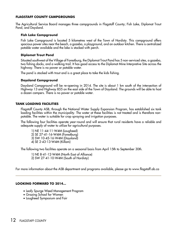### **Flagstaff County Campgrounds**

The Agricultural Service Board manages three campgrounds in Flagstaff County; Fish Lake, Diplomat Trout Pond, and Daysland.

### **Fish Lake Campground**

Fish Lake Campground is located 5 kilometres west of the Town of Hardisty. This campground offers spacious power sites near the beach, a gazebo, a playground, and an outdoor kitchen. There is centralized potable water available and the lake is stocked with perch.

# **Diplomat Trout Pond**

Situated southwest of the Village of Forestburg, the Diplomat Trout Pond has 5 non-serviced sites, a gazebo, two fishing docks, and a walking trail. It has good access to the Diplomat Mine Interpretive Site across the highway. There is no power or potable water.

The pond is stocked with trout and is a great place to take the kids fishing.

# **Daysland Campground**

Daysland Campground will be re-opening in 2014. The site is about 1 km south of the intersection of Highway 13 and Highway 855 on the east side of the Town of Daysland. The grounds will be able to host a dozen campers. There is no power or potable water.

# **Tank Loading Facilities**

Flagstaff County ASB, through the National Water Supply Expansion Program, has established six tank loading facilities within the municipality. The water at these facilities is not treated and is therefore nonpotable. The water is suitable for crop spraying and irrigation purposes.

The following four facilities operate year-round and will ensure that rural residents have a reliable and adequate supply of water to utilize for agricultural purposes.

1) NE 11-44-11-W4M (Lougheed) 2) SE 27-41-16-W4M (Forestburg) 3) SW 10-45-16-W4M (Daysland) 4) SE 2-43-13-W4M (Killam)

The following two facilities operate on a seasonal basis from April 15th to September 30th.

1) NE 8-41-12-W4M (North East of Alliance) 2) SW 27-41-10-W4M (South of Hardisty)

For more information about the ASB department and programs available, please go to www.flagstaff.ab.ca

#### **Looking Forward to 2014...**

- Leafy Spurge Weed Management Program
- Grazing School for Women
- Lougheed Symposium and Fair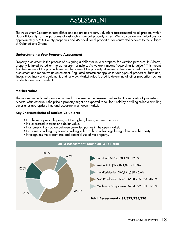# ASSESSMENT

The Assessment Department establishes and maintains property valuations (assessments) for all property within Flagstaff County for the purposes of distributing annual property taxes. We provide annual valuations for approximately 8,500 County properties and 450 additional properties for contracted services to the Villages of Galahad and Strome.

#### **Understanding Your Property Assessment**

Property assessment is the process of assigning a dollar value to a property for taxation purposes. In Alberta, property is taxed based on the ad valorem principle. Ad valorem means "according to value." This means that the amount of tax paid is based on the value of the property. Assessed values are based upon regulated assessment and market value assessment. Regulated assessment applies to four types of properties; farmland, linear, machinery and equipment, and railway. Market value is used to determine all other properties such as residential and non-residential.

#### **Market Value**

The market value based standard is used to determine the assessed values for the majority of properties in Alberta. Market value is the price a property might be expected to sell for if sold by a willing seller to a willing buyer after appropriate time and exposure in an open market.

### **Key Characteristics of Market Value are:**

- It is the most probable price, not the highest, lowest, or average price.
- It is expressed in terms of a dollar value.
- It assumes a transaction between unrelated parties in the open market.
- It assumes a willing buyer and a willing seller, with no advantage being taken by either party.
- It recognizes the present use and potential use of the property.

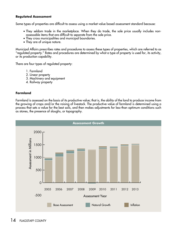# **Regulated Assessment**

Some types of properties are difficult to assess using a market value based assessment standard because:

- They seldom trade in the marketplace. When they do trade, the sale price usually includes nonassessable items that are difficult to separate from the sale price.
- They cross municipalities and municipal boundaries.
- They are of unique nature.

18.0% "regulated property." Rates and procedures are determined by what a type of property is used for, its activity, Municipal Affairs prescribes rates and procedures to assess these types of properties, which are referred to as or its production capability.

There are four types of regulated property:

- 1. Farmland
	- 2. Linear property
	- 3. Machinery and equipment
	- 4. Railway property

#### $48.3<sup>2</sup>$  17.0% 17.0% 17.0% 17.0% 17.0% 17.0% 17.0% 17.0% 17.0% 17.0% 17.0% 17.0% 17.0% 17.0% 17.0% 17.0% 17.0% 17.0% 17.0% 17.0% 17.0% 17.0% 17.0% 17.0% 17.0% 17.0% 17.0% 17.0% 17.0% 17.0% 17.0% 17.0% 17.0% 17.0% 17. **Farmland**

Farmland is assessed on the basis of its productive value; that is, the ability of the land to produce income from the growing of crops and/or the raising of livestock. The productive value of farmland is determined using a process that sets a value for the best soils, and then makes adjustments for less-than optimum conditions such as stones, the presence of sloughs, or topography.

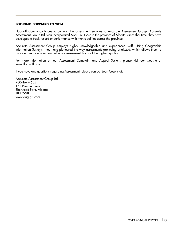#### **Looking Forward to 2014...**

Flagstaff County continues to contract the assessment services to Accurate Assessment Group. Accurate Assessment Group Ltd. was incorporated April 16, 1997 in the province of Alberta. Since that time, they have developed a track record of performance with municipalities across the province.

Accurate Assessment Group employs highly knowledgeable and experienced staff. Using Geographic Information Systems, they have pioneered the way assessments are being analyzed, which allows them to provide a more efficient and effective assessment that is of the highest quality.

For more information on our Assessment Complaint and Appeal System, please visit our website at www.flagstaff.ab.ca.

If you have any questions regarding Assessment, please contact Sean Cosens at:

Accurate Assessment Group Ltd. 780-464-4655 171 Pembina Road Sherwood Park, Alberta T8H 2W8 www.aag-gis.com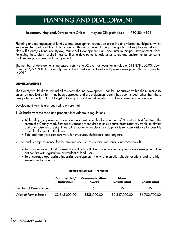# PLANNING AND DEVELOPMENT

# **Rosemary Hoyland,** Development Officer | rhoyland@flagstaff.ab.ca | 780-384-4102

Planning and management of land use and development creates an attractive and vibrant municipality which enhances the quality of life of its residents. This is achieved through the goals and regulations set out in Flagstaff County's Land Use Bylaw, Municipal Development Plan, and Inter-municipal Development Plans. Following these plans results in less conflicting developments, addresses safety and environmental concerns, and creates productive land management.

The number of developments increased from 43 to 52 over last year for a value of \$11,878,200.00, down from \$207,776,400.00, primarily due to the TransCanada Keystone Pipeline development that was initiated in 2012.

# **Developments:**

The County would like to remind all residents that no development shall be undertaken within the municipality unless an application for it has been approved and a development permit has been issued, other than those designated in Section 3.4 of Flagstaff County's Land Use Bylaw which can be accessed on our website.

Development Permits are required to ensure that:

- 1. Setbacks from the road and property lines adhere to regulations.
	- • All buildings, improvements, and dugouts must be set back a minimum of 50 metres (164 feet) from the centre of a County road. Setback distances are required to ensure safety from roadway traffic, minimize dust and noise, ensure sightlines to the roadway are clear, and to provide sufficient distance for possible road development in the future.
	- Side and rear yard setbacks vary for structures, shelterbelts, and dugouts.

2. The land is properly zoned for the building use (i.e. residential, industrial, and commercial).

- • To provide areas of land for uses that will not conflict with one another (e.g. Industrial development does not conflict with agriculture or residential land users).
- To encourage appropriate industrial development in environmentally suitable locations and to a high environmental standard.

|                          | Commercial/<br><b>Industrial</b> | Communication<br><b>Towers</b> | Non-<br>Residential | <b>Residential</b> |
|--------------------------|----------------------------------|--------------------------------|---------------------|--------------------|
| Number of Permits Issued |                                  | $\Delta$                       |                     |                    |
| Value of Permits Issued  | \$2,345,000.00                   | \$638,000.00                   | \$2,347,000.00      | \$6,702,700.00     |

# **Developments in 2013**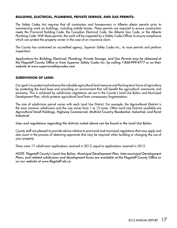# **Building, Electrical, Plumbing, Private Sewage, and Gas Permits:**

The Safety Codes Act requires that all contractors and homeowners in Alberta obtain permits prior to commencing work on buildings, including mobile homes. These permits are required to ensure construction meets the Provincial Building Code, the Canadian Electrical Code, the Alberta Gas Code, or the Alberta Plumbing Code. With these permits, the work will be inspected by a Safety Codes Officer to ensure compliance which can protect the property owner in the case of an insurance claim.

The County has contracted an accredited agency, Superior Safety Codes Inc., to issue permits and perform inspections.

*Applications for Building, Electrical, Plumbing, Private Sewage, and Gas Permits may be obtained at the Flagstaff County Office or from Superior Safety Codes Inc. by calling 1-866-999-4777 or on their website at www.superiorsafetycodes.com*

#### **Subdivision of Land:**

Our goal is to protect and enhance the valuable agricultural land resource and the long term future of agriculture by protecting the land base and providing an environment that will benefit the agricultural community and economy. This is achieved by subdivision regulations set out in the County's Land Use Bylaw and Municipal Development Plan, which protects agricultural land from unnecessary fragmentation.

The size of subdivision parcel varies with each Land Use District. For example, the *Agricultural District* is the most common subdivision and the size varies from 1 to 15 acres. Other Land Use Districts available are *Agricultural Small Holdings, Highway Commercial, Multi-lot Country Residential, Industrial, and Rural Industrial*.

*Uses and regulations regarding the districts noted above can be found in the Land Use Bylaw.*

County staff are pleased to provide advice relative to provincial and municipal regulations that may apply and also assist in the process of obtaining approvals that may be required when building or changing the use of your property.

There were 17 subdivision applications received in 2013; equal to applications received in 2012.

*NOTE: Flagstaff County's Land Use Bylaw, Municipal Development Plan, Inter-municipal Development Plans, and related subdivision and development forms are available at the Flagstaff County Office or on our website at www.flagstaff.ab.ca.*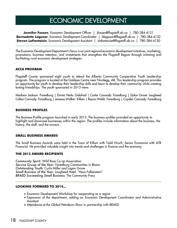# ECONOMIC DEVELOPMENT

**Jennifer Fossen**, Economic Development Officer | jfossen@flagstaff.ab.ca | 780-384-4121 **Bernadette Logozar**, Economic Development Coordinator | blogozar@flagstaff.ab.ca | 780-384-4152 **Steven LaFantaisie**, Economic Development Assistant | slafantaisie@flagstaff.ab.ca | 780-384-4150

The Economic Development Department's focus is on joint regional economic development initiatives, marketing, promotions, business retention, and investments that strengthen the Flagstaff Region through initiating and facilitating rural economic development strategies.

# **ACCA Program**

Flagstaff County sponsored eight youth to attend the Alberta Community Cooperative Youth Leadership program. The program is located at the Goldeye Centre near Nordegg, AB. This leadership program provides an opportunity for youth to develop their leadership skills and learn to develop their community while creating lasting friendships. The youth sponsored in 2013 were:

Madison Jackson: Forestburg | Emma Herle: Galahad | Carter Cannady: Forestburg | Dylan Grove: Lougheed Colton Cannady: Forestburg | Janessa Walker: Killam | Rayna Welsh: Forestburg | Cayden Cannady: Forestburg

#### **Business Profiles**

The Business Profile program launched in early 2013. The business profiles provided an opportunity to highlight and showcase businesses within the region. The profiles include information about the business, the history, the staff, and the owners.

#### **Small Business Awards**

The Small Business Awards were held in the Town of Killam with Todd Hirsch, Senior Economist with ATB Financial. He provided valuable insight into trends and challenges in finance and the economy.

#### **The 2013 award recipients**

*Community Spirit:* Wild Rose Co-op Association *Service Group of the Year:* Forestburg Communities in Bloom *Outstanding Youth:* Curtis Miller and Logan Grove *Small Business of the Year:* Lougheed Hotel, "Haus Falkenstein" *BRAED Succeeding Small Business:* The Community Press

# **Looking forward to 2014...**

- Economic Development Workshop for cooperating as a region
- • Expansion of the department, adding an Economic Development Coordinator and Administrative **Assistant**
- Attendance at the Global Petroleum Show in partnership with BRAED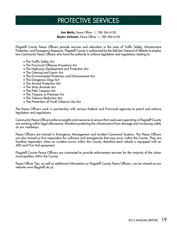# PROTECTIVE SERVICES

**Jim Wells,** Peace Officer | 780-384-4100 **Skyler Zelinski,** Peace Officer | 780-384-4100

Flagstaff County Peace Officers provide services and education in the area of Traffic Safety, Infrastructure Protection, and Emergency Response. Flagstaff County is authorized by the Solicitor General of Alberta to employ two Community Peace Officers who have the authority to enforce legislation and regulations relating to:

- The Traffic Safety Act
- The Provincial Offences Procedure Act
- The Highways Development and Protection Act
- The Gaming and Liquor Act
- The Environmental Protection and Enhancement Act
- The Dangerous Dogs Act
- The Animal Protection Act
- The Stray Animals Act
- The Petty Trespass Act
- The Trespass to Premises Act
- The Tobacco Reduction Act
- The Prevention of Youth Tobacco Use Act

The Peace Officers work in partnership with various Federal and Provincial agencies to patrol and enforce legislation and regulations.

Community Peace Officers enforce weights and measures to ensure that road users operating in Flagstaff County are working within legal allowances, therefore protecting the infrastructure from damage and increasing safety on our roadways.

Peace Officers are trained in Emergency Management and Incident Command Systems. The Peace Officers are also trained as first responders for collisions and emergencies that may occur within the County. They are frontline responders when an incident occurs within the County; therefore each vehicle is equipped with an AED and First Aid equipment.

Flagstaff County Peace Officers are contracted to provide enforcement services for the majority of the urban municipalities within the County.

Peace Officer Tips, as well as additional information on Flagstaff County Peace Officers, can be viewed on our website www.flagstaff.ab.ca.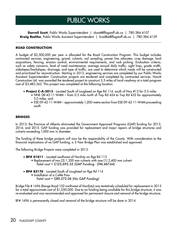# PUBLIC WORKS

**Darrell Szott**, Public Works Superintendent | dszott@flagstaff.ab.ca | 780-384-4107 **Kraig Radtke**, Public Works Assistant Superintendent | kradtke@flagstaff.ab.ca | 780-384-4139

# **ROAD CONSTRUCTION**

A budget of \$2,500,000 per year is allocated for the Road Construction Program. This budget includes contracted services, engineering, gravel, culverts, soil sampling, power line relocates, crop damage, land acquisitions, fencing, erosion control, environmental requirements, and rock picking. Evaluation criteria, such as safety concerns, level of road maintenance, average annual daily traffic, sight lines, grade width, sideslopes/backslopes, drainage, and type of traffic, are used to determine which roads will be constructed and prioritized for reconstruction. Starting in 2013, engineering services are completed by our Public Works Assistant Superintendent. Construction projects are tendered and completed by contracted services. Howitt Construction Ltd. was awarded the tendered project to construct 5.5 miles of local roadway at a total program cost of \$3,483,362. This project was completed at the following location:

- • **Project C-A-2013** Located South of Lougheed on Rge Rd 114, south of Hwy #13 for 5.5 miles
	- NNE 08-43-11-W4M from 0.5 mile north of Twp Rd 424 to Twp Rd 432 for approximately 5.0 miles; and
	- ESE 09-42-11-W4M approximately 1,200-metre section from ESE 09-42-11-W4M proceeding south

#### **BRIDGES**

In 2013, the Province of Alberta eliminated the Government Approved Programs (GAP) funding for 2013, 2014, and 2015. GAP funding was provided for replacement and major repairs of bridge structures and culverts exceeding 1,000 mm in diameter.

The funding of these bridge projects will now be the responsibility of the County. With consideration to the financial implications of no GAP funding, a 3-Year Bridge Plan was established and approved.

The following Bridge Projects were completed in 2013:

- **BF# 01811** Located southwest of Hardisty on Rge Rd 113
	- Replacement of two (2) 1,200 mm culverts with one (1) 2,400 mm culvert *Total cost = \$125,695.52 (GAP Funding - \$94,467.64)*
- BF# 83170 Located South of Lougheed on Rge Rd 114
	- Installation of a Cattle Pass *Total cost = \$89,272.06 (No GAP Funding)*

Bridge File # 1696 (Range Road 102 northwest of Hardisty) was tentatively scheduled for replacement in 2013 for a total approximate cost of \$1,050,000. Due to no funding being available for this bridge structure, it was re-evaluated and was recommended and approved for permanent closure and removal of the bridge structure.

BF# 1696 is permanently closed and removal of the bridge structure will be done in 2014.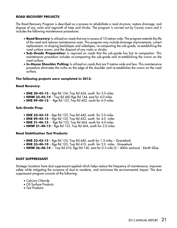#### **ROAD RECOVERY PROJECTS**

The Road Recovery Program is described as a process to rehabilitate a road structure, restore drainage, and dispose of any rocks and regrowth of trees and shrubs. The program is carried out by County crews and it includes the following maintenance procedures:

- **Road Recovery:** Is utilized on roads that are in excess of 10 metres wide. The program extends the life of the road and reduces maintenance costs. This program may include drainage improvements, culvert replacement, re-shaping backslopes and sideslopes, re-compacting the sub-grade, re-establishing the road surface crown, and the disposal of any rocks or shrubs.
- **Sub-Grade Preparation:** Is required on roads that the sub-grade has lost its compaction. This maintenance procedure includes re-compacting the sub-grade and re-establishing the crown on the road surface.
- In-House Shoulder Pulling: Is utilized on roads that are 9 metres wide and less. This maintenance procedure eliminates the curbs on the edge of the shoulder and re-establishes the crown on the road surface.

#### **The following projects were completed in 2013:**

#### **Road Recovery:**

- **ENE 20-42-15** Rge Rd 154, Twp Rd 424, south for 2.0 miles
- **NNW 33-45-14** Twp Rd 460 Rge Rd 144, east for 4.0 miles
- **ENE 09-40-12** Rge Rd 123, Twp Rd 402, south for 6.0 miles

#### **Sub-Grade Prep:**

- **ENE 33-43-15** Rge Rd 153, Twp Rd 440, south for 2.0 miles
- **ENE 09-45-15** Rge Rd 153, Twp Rd 452, south for 4.0 miles
- **ENE 21-46-15** Rge Rd 153, Twp Rd 464, south for 4.0 miles
- **NNW 21-40-12** Rge Rd 123, Twp Rd 404, south for 2.0 miles

#### **Road Stabilization Test Products:**

- • **ENE 33-43-15** Rge Rd 153, Twp Rd 440, south for 1.5 miles *Gravelock*
- • **ENE 33-40-10** Rge Rd 103, Twp Rd 410, south for 2.0 miles *Gravelock*
- • **NNW 36-40-14**  Twp Rd 410, Rge Rd 140, east for 0.5 mile (2 400m sections) - *Earth Glue*

#### **DUST SUPPRESSANT**

Strategic locations have dust suppressant applied which helps reduce the frequency of maintenance, improves safety while mitigating the nuisance of dust to residents, and minimizes the environmental impact. The dust suppressant program consists of the following:

- Calcium Chloride
- Oil Surface Products
- Test Products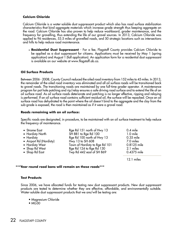# **Calcium Chloride**

Calcium Chloride is a water-soluble dust suppressant product which also has road surface stabilization characteristics that bind aggregate materials which increase grade strength thus keeping aggregate on the road. Calcium Chloride has also proven to help reduce washboard, grader maintenance, and the frequency for gravelling, thus extending the life of our gravel sources. In 2013, Calcium Chloride was applied to 96 residences, 53.5 miles of gravelled roads, and 50 strategic locations such as intersections and hills to help reduce road maintenance.

• **Residential Dust Suppressant** - For a fee, Flagstaff County provides Calcium Chloride to be applied as a dust suppressant for citizens. Applications must be received by May 1 (spring application) and August 1 (fall application). An application form for a residential dust suppressant is available on our website at www.flagstaff.ab.ca.

# **Oil Surface Products**

Between 2006 - 2008, County Council reduced the oiled road inventory from 152 miles to 45 miles. In 2013, the remainder of the oiled road inventory was eliminated and all oil surface roads will be transitioned back to gravel roads. The transitioning roads are maintained by one full-time grader operator. A maintenance program for pot hole patching and rip/relay ensures a safe driving road surface and to extend the life of an oil surface road. As oil surface roads deteriorate and patching is no longer effective, ripping and relaying is performed. If an oil surface road contains sufficient residual oil, the surface will be repacked. Once an oil surface road has dehydrated to the point where the oil doesn't bind to the aggregate and the clay from the sub-grade is exposed, the road is then maintained as if it were a gravel road.

#### **Roads remaining with an oil surface:**

Specific roads are designated, in procedure, to be maintained with an oil surface treatment to help reduce the frequency of maintenance.

| • Strome East           | Rge Rd 151 north of Hwy 13     | $0.4$ mile  |
|-------------------------|--------------------------------|-------------|
| • Hardisty North        | SH 881 to Rge Rd 100           | $1.0$ mile  |
| $\bullet$ Hardisty      | Rge Rd 100 north of Hwy 13     | $0.35$ mile |
| • Airport Rd (Hardisty) | Hwy 13 to SH 608               | 7.0 miles   |
| • Hardisty West         | Town of Hardisty to Rge Rd 101 | 0.8125 mile |
| • Shop Rd West          | Rge Rd 124 to Rge Rd 130       | 2.1 miles   |
| • Shop Rd East          | Twp Rd 442 east of SH 869      | 0.4375 mile |
|                         |                                |             |

12.1 miles

#### **\*\*\*Year round road bans will remain on these roads\*\*\***

#### **Test Products**

Since 2006, we have allocated funds for testing new dust suppressant products. New dust suppressant products are tested to determine whether they are effective, affordable, and environmentally suitable. Water-soluble dust suppressant products that we are/will be testing are:

- Magnesium Chloride
- $\bullet$  MG<sub>30</sub>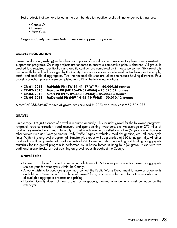Test products that we have tested in the past, but due to negative results will no longer be testing, are:

- Canola Oil
- Durasoil
- Earth Glue

*Flagstaff County continues testing new dust suppressant products.* 

# **GRAVEL PRODUCTION**

Gravel Production (crushing) replenishes our supplies of gravel and ensures inventory levels are consistent to support our programs. Crushing projects are tendered to ensure a competitive price is obtained. All gravel is crushed to a required specification and quality controls are completed by in-house personnel. Six gravel pits are currently leased and managed by the County. Two stockpile sites are obtained by tendering for the supply, crush, and stockpile of aggregates. Two interim stockpile sites are utilized to reduce hauling distances. Four gravel production projects were completed in 2013 at the following locations:

- **CR-01-2013 McNabb Pit (SW 34-41-17-W4M) 60,009.85 tonnes**
- **CR-02-2013 Mazure Pit (NE 16-43-09-W4M) 70,025.67 tonnes**
- **CR-03-2013 Skori Pit (N ½ 09-46-11-W4M) 85,203.13 tonnes**
- **CR-04-2013 McDonald Pit (NW 14-45-19-W4M) 50,010.42 tonnes**

*A total of 265,249.07 tonnes of gravel was crushed in 2013 at a total cost = \$2,806,238*

# **GRAVEL**

On average, 170,000 tonnes of gravel is required annually. This includes gravel for the following programs: re-gravel, road construction, road recovery and spot patching, washouts, etc. An average of 270 miles of road is re-gravelled each year. Typically, gravel roads are re-gravelled on a five (5) year cycle; however other factors such as "Average Annual Daily Traffic," types of vehicles, road designation, etc. influence cycle times. Within the re-gravel program, all 8-metre wide roads will be gravelled at 330 tonne per mile. All other road widths will be gravelled at a reduced rate of 290 tonne per mile. The loading and hauling of aggregate materials for the gravel program is performed by in-house forces utilizing four (4) gravel trucks with two additional gravel trucks for spot patching on gravel roads throughout the County.

# **Gravel Sales**

- Gravel is available for sale to a maximum allotment of 150 tonnes per residential, farm, or aggregate site per year for ratepayers within the County.
- Anyone wishing to purchase gravel must contact the Public Works Department to make arrangements and obtain a "Permission for Purchase of Gravel" form, or to receive further information regarding a list of available aggregate products and pricing.
- Flagstaff County does not haul gravel for ratepayers; hauling arrangements must be made by the ratepayer.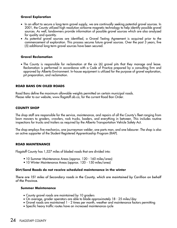# **Gravel Exploration**

- In an effort to secure a long-term gravel supply, we are continually seeking potential gravel sources. In 2001, the County utilized high resolution airborne magnetic technology to help identify possible gravel sources. As well, landowners provide information of possible gravel sources which are also analyzed for quality and quantity.
- As potential gravel sources are identified, a Gravel Testing Agreement is acquired prior to the commencement of exploration. This process secures future gravel sources. Over the past 3 years, five (5) additional long-term gravel sources have been secured.

# **Gravel Reclamation**

• The County is responsible for reclamation at the six (6) gravel pits that they manage and lease. Reclamation is performed in accordance with a Code of Practice prepared by a consulting firm and approved by Alberta Environment. In-house equipment is utilized for the purpose of gravel exploration, pit preparation, and reclamation.

# **ROAD BANS ON OILED ROADS**

Road Bans define the maximum allowable weights permitted on certain municipal roads. Please refer to our website, www.flagstaff.ab.ca, for the current Road Ban Order.

# **COUNTY SHOP**

The shop staff are responsible for the service, maintenance, and repairs of all the County's fleet ranging from lawn mowers to graders, crawlers, rock trucks, loaders, and everything in between. This includes routine inspections for trucks and trailers as required by the Alberta Transportation Vehicle Safety Act.

The shop employs five mechanics, one journeyman welder, one parts man, and one labourer. The shop is also an active supporter of the Student Registered Apprenticeship Program (RAP).

#### **ROAD MAINTENANCE**

Flagstaff County has 1,527 miles of bladed roads that are divided into:

- 10 Summer Maintenance Areas (approx. 120 160 miles/area)
- 10 Winter Maintenance Areas (approx. 120 150 miles/area)

#### **Dirt/Sand Roads do not receive scheduled maintenance in the winter**

*There are 151 miles of Secondary roads in the County, which are maintained by Carillion on behalf of the Province.*

#### **Summer Maintenance**

- County gravel roads are maintained by 10 graders
- • On average, grader operators are able to blade approximately 18 25 miles/day
- Gravel roads are maintained 1 2 times per month, weather and maintenance factors permitting
- Specific heavy traffic routes have an increased maintenance cycle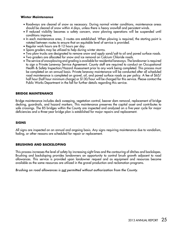#### **Winter Maintenance**

- Roadways are cleared of snow as necessary. During normal winter conditions, maintenance areas should be cleared of snow within 4 days, unless there is heavy snowfall and persistent winds.
- If reduced visibility becomes a safety concern, snow plowing operations will be suspended until conditions improve.
- In each maintenance area, 3 routes are established. When plowing is required, the starting point is rotated between routes to ensure that an equitable level of service is provided.
- Regular work hours are 8-12 hours per day.
- Spare graders may be utilized to help during winter storms.
- Two plow trucks are designated to remove snow and apply sand/salt to oil and paved surface roads.
- • Two graders are allocated for snow and ice removal on Calcium Chloride roads.
- The service of snowplowing and grading is available for residential laneways. The landowner is required to sign a Private Laneway Service Agreement. County staff are required to conduct an Occupational Health & Safety Inspection/Hazard Assessment prior to any work being completed. This process must be completed on an annual basis. Private laneway maintenance will be conducted after all scheduled road maintenance is completed on gravel, oil, and paved surface roads as per policy. A fee of \$65/ half hour (half hour minimum charge) or \$130/hour will be charged for this service. Please contact the Public Works Department in the fall for further details regarding this service.

# **Bridge Maintenance**

Bridge maintenance includes deck sweeping, vegetation control, beaver dam removal, replacement of bridge decking, guardrails, and hazard markers. This maintenance preserves the capital asset and contributes to safe crossings. The 85 bridges within the County are inspected and analyzed on a five-year cycle for major deficiencies and a three-year bridge plan is established for major repairs and replacement.

# **Signs**

All signs are inspected on an annual and ongoing basis. Any signs requiring maintenance due to vandalism, fading, or other reasons are scheduled for repair or replacement.

# **Brushing and Backsloping**

This process increases the level of safety by increasing sight lines and the contouring of ditches and backslopes. Brushing and backsloping provides landowners an opportunity to control brush growth adjacent to road allowances. This service is provided upon landowner request and as equipment and resources become available as the same resources are utilized in the gravel production and reclamation programs.

*Brushing on road allowances is not permitted without authorization from the County.*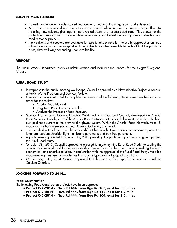#### **Culvert Maintenance**

- Culvert maintenance includes culvert replacement, cleaning, thawing, repair and extensions.
- • All culverts are replaced and diameters are increased where required to improve water flow. By installing new culverts, drainage is improved adjacent to a reconstructed road. This allows for the protection of existing infrastructure. New culverts may also be installed during new construction and road recovery projects.
- New culverts and couplers are available for sale to landowners for the use in approaches on road allowances or to local municipalities. Used culverts are also available for sale at half the purchase price; sizes will vary depending upon availability.

# **AIRPORT**

The Public Works Department provides administration and maintenance services for the Flagstaff Regional Airport.

#### **RURAL ROAD STUDY**

- In response to the public meeting workshops, Council approved as a New Initiative Project to conduct a Public Works Program and Services Review.
- • Genivar Inc. was contracted to complete the review and the following items were identified as focus areas for the review:
	- Arterial Road Network
	- Long Term Road Construction Plan
	- Analyze the Process of Road Recovery
- • Genivar Inc., in consultation with Public Works administration and Council, developed an Arterial Road Network. The objective of the Arterial Road Network system is to help divert the truck traffic from our local road system to the provincial highway system. Within the Arterial Road Network, three (3) road classifications were established: Arterial, Collector, and Local.
- The identified arterial roads will be surfaced/dust-free roads. Three surface options were presented: long term calcium chloride; light membrane pavement; and ban free pavement.
- • A public meeting was held on June 18th, 2013 providing the public an opportunity to give input into the Rural Road Study.
- On July 17th, 2013, Council approved to proceed to implement the Rural Road Study, accepting the arterial road network and further evaluate dust-free surfaces for the arterial roads, seeking the most economical, and effective solution. In conjunction with the approval of the Rural Road Study, the oiled road inventory has been eliminated as this surface type does not support truck traffic.
- On February 13th, 2014, Council approved that the road surface type for arterial roads will be Calcium Chloride.

#### **LOOKING FORWARD TO 2014...**

#### **Road Construction:**

The following Road Construction projects have been approved:

- • **Project C-A-2014 Twp Rd 404, from Rge Rd 135, east for 3.3 miles**
- • **Project C-B-2014 Twp Rd 444, from Rge Rd 110, east for 1.0 mile**
- • **Project C-C-2014 Twp Rd 444, from Rge Rd 104, east for 2.0 miles**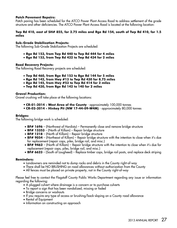#### **Patch Pavement Repairs:**

Patch paving has been scheduled for the ATCO Power Plant Access Road to address settlement of the grade structure and other deficiencies. The ATCO Power Plant Access Road is located at the following location:

#### **Twp Rd 410, east of SH# 855, for 2.75 miles and Rge Rd 154, south of Twp Rd 410, for 1.5 miles**

#### **Sub-Grade Stabilization Projects:**

The following Sub-Grade Stabilization Projects are scheduled:

- • **Rge Rd 153, from Twp Rd 440 to Twp Rd 444 for 4 miles**
- • **Rge Rd 153, from Twp Rd 432 to Twp Rd 434 for 2 miles**

#### **Road Recovery Projects:**

The following Road Recovery projects are scheduled:

- • **Twp Rd 460, from Rge Rd 153 to Rge Rd 144 for 5 miles**
- • **Rge Rd 142, from Hwy #13 to Twp Rd 430 for 8.75 miles**
- • **Rge Rd 145, from Hwy #53 to Twp Rd 414 for 2 miles**
- • **Twp Rd 430, from Rge Rd 142 to 140 for 2 miles**

#### **Gravel Production:**

Gravel crushing will take place at the following locations:

- **CR-01-2014 West Area of the County**  approximately 100,000 tonnes
- **CR-02-2014 Hinkey Pit (NW 17-44-09-W4M)**  approximately 80,000 tonnes

#### **Bridges:**

The following bridge work is scheduled:

- **BF# 1696** (Northwest of Hardisty) Permanently close and remove bridge structure
- • **BF# 13353** (North of Killam) Repair bridge structure
- **BF# 1218** (North of Killam) Repair bridge structure
- **BF# 9054** (Northeast of Killam) Repair bridge structure with the intention to close when it's due for replacement (repair caps, piles, bridge rail, and misc.)
- **BF# 9462** (North of Killam) Repair bridge structure with the intention to close when it's due for replacement (repair caps, piles, bridge rail, and misc.)
- • **BF# 6623** (South of Lougheed) Replace timber caps, bridge rail posts, and replace deck striping

#### **Reminders:**

- Landowners are reminded not to dump rocks and debris in the County right-of-way
- There shall be NO BRUSHING on road allowances without authorization from the County
- All fences must be placed on private property, not in the County right-of-way

Please feel free to contact the Flagstaff County Public Works Department regarding any issue or information regarding the following:

- A plugged culvert where drainage is a concern or to purchase culverts
- To report a sign that has been vandalized, missing or faded
- Bridge concerns or washouts
- If you require any type of access or brushing/back-sloping on a County road allowance
- Rental of Equipment
- Information on constructing an approach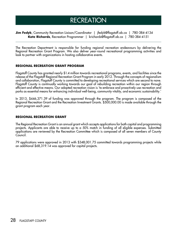# **RECREATION**

**Jim Fedyk**, Community Recreation Liaison/Coordinator | jfedyk@flagstaff.ab.ca | 780-384-4134 **Kate Richards**, Recreation Programmer | krichards@flagstaff.ab.ca | 780-384-4151

The Recreation Department is responsible for funding regional recreation endeavours by delivering the Regional Recreation Grant Program. We also deliver year-round recreational programming activities and look to partner with organizations in hosting collaborative events.

# **Regional Recreation Grant Program**

Flagstaff County has granted nearly \$1.4 million towards recreational programs, events, and facilities since the release of the Flagstaff Regional Recreation Grant Program in early 2012. Through the concepts of regionalism and collaboration, Flagstaff County is committed to developing recreational services which are second to none. Flagstaff County is continually working towards our goal of rebuilding recreation within our region through efficient and effective means. Our adopted recreation vision is 'to embrace and proactively use recreation and parks as essential means for enhancing individual well-being, community vitality, and economic sustainability.'

In 2013, \$446,371.39 of funding was approved through the program. The program is composed of the Regional Recreation Grant and the Recreation Investment Grants. \$500,000.00 is made available through the grant program each year.

# **Regional Recreation Grant**

The Regional Recreation Grant is an annual grant which accepts applications for both capital and programming projects. Applicants are able to receive up to a 50% match in funding of all eligible expenses. Submitted applications are reviewed by the Recreation Committee which is composed of all seven members of County Council.

79 applications were approved in 2013 with \$348,001.75 committed towards programming projects while an additional \$68,319.14 was approved for capital projects.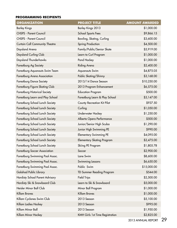# **Programming Recipients**

| <b>ORGANIZATION</b>                    | <b>PROJECT TITLE</b>              | <b>AMOUNT AWARDED</b> |
|----------------------------------------|-----------------------------------|-----------------------|
| <b>Barley Kings</b>                    | Barley Kings 2013                 | \$1,000.00            |
| <b>CHSPS - Parent Council</b>          | School Sports Fees                | \$9,866.15            |
| <b>CHSPS - Parent Council</b>          | Bowling, Skating, Curling         | \$3,600.00            |
| <b>Curtain Call Community Theatre</b>  | <b>Spring Production</b>          | \$4,500.00            |
| Daysland Arena                         | Family/Public/Senior Skate        | \$5,919.00            |
| Daysland Curling Club                  | Learn to Curl Program             | \$1,000.00            |
| Daysland Thunderhawks                  | Pond Hockey                       | \$1,000.00            |
| Forestburg Ag Society                  | Riding Arena                      | \$2,400.00            |
| Forestburg Aquanauts Swim Team         | <b>Aquanauts Swim</b>             | \$4,875.05            |
| Forestburg Arena Association           | Public Skating/Shinny             | \$3,168.00            |
| Forestburg Dance Society               | 2013/14 Dance Season              | \$10,250.00           |
| Forestburg Figure Skating Club         | 2013 Program Enhancement          | \$6,575.00            |
| Forestburg Historical Society          | <b>Education Program</b>          | \$500.00              |
| Forestburg Learn and Play School       | Forestburg Learn & Play School    | \$3,147.00            |
| Forestburg School Lunch Society        | County Recreation Kit Pilot       | \$937.50              |
| Forestburg School Lunch Society        | Curling                           | \$1,050.00            |
| Forestburg School Lunch Society        | Underwater Hockey                 | \$1,250.00            |
| Forestburg School Lunch Society        | Alberta Opera Performance         | \$500.00              |
| Forestburg School Lunch Society        | Junior/Senior High Scuba          | \$1,290.00            |
| Forestburg School Lunch Society        | Junior High Swimming PE           | \$990.00              |
| Forestburg School Lunch Society        | Elementary Swimming PE            | \$4,095.00            |
| Forestburg School Lunch Society        | <b>Elementary Skating Program</b> | \$2,475.00            |
| Forestburg School Lunch Society        | Skiing PE Program                 | \$1,805.78            |
| <b>Forestburg Soccer Association</b>   | Soccer                            | \$2,900.00            |
| Forestburg Swimming Pool Assoc.        | Lane Swim                         | \$8,600.00            |
| Forestburg Swimming Pool Assoc.        | Swimming Lessons                  | \$6,650.00            |
| Forestburg Swimming Pool Assoc.        | Public Swim                       | \$15,000.00           |
| Galahad Public Library                 | <b>TD Summer Reading Program</b>  | \$544.00              |
| <b>Hardisty School Parent Advisory</b> | <b>Field Trips</b>                | \$2,500.00            |
| Hardisty Ski & Snowboard Club          | Learn to Ski & Snowboard          | \$5,000.00            |
| Heisler Minor Ball Club                | Minor Ball Program                | \$1,000.00            |
| <b>Killam Braves</b>                   | <b>Killam Braves</b>              | \$1,000.00            |
| Killam Cyclones Swim Club              | 2013 Season                       | \$5,100.00            |
| Killam Ladies Hockey                   | 2013 Season                       | \$995.00              |
| Killam Minor Ball                      | 2013 Season                       | \$1,950.00            |
| Killam Minor Hockey                    | KMH Girls 1st Time Registration   | \$2,825.00            |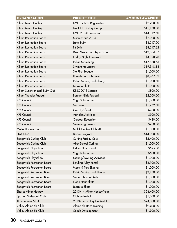| <b>ORGANIZATION</b>           | <b>PROJECT TITLE</b>          | <b>AMOUNT AWARDED</b> |
|-------------------------------|-------------------------------|-----------------------|
| Killam Minor Hockey           | KMH 1st time Registration     | \$2,200.00            |
| Killam Minor Hockey           | <b>Black Elk Hockey Camp</b>  | \$15,170.00           |
| Killam Minor Hockey           | KMH 2013/14 Season            | \$14,312.50           |
| Killam Recreation Board       | Summer Fun 2013               | \$2,000.00            |
| Killam Recreation Board       | Lane Swim                     | \$8,317.00            |
| Killam Recreation Board       | Fit Swim                      | \$8,317.32            |
| Killam Recreation Board       | Deep Water and Aqua Sizes     | \$12,034.37           |
| Killam Recreation Board       | Friday Night Fun Swim         | \$4,320.98            |
| Killam Recreation Board       | Public Swimming               | \$17,888.65           |
| Killam Recreation Board       | Swimming Lessons              | \$19,948.13           |
| Killam Recreation Board       | Slo Pitch League              | \$1,000.00            |
| Killam Recreation Board       | Parents and Tots Swim         | \$8,467.32            |
| Killam Recreation Board       | Public Skating and Shinny     | \$1,900.50            |
| Killam Recreation Board       | Learn to Skate                | \$1,000.00            |
| Killam Synchronized Swim Club | KSSC 2013 Season              | \$800.00              |
| Killam Thunder Fastball       | <b>Bantam Girls Fastball</b>  | \$2,300.00            |
| <b>KPS Council</b>            | Yoga Submarine                | \$1,000.00            |
| <b>KPS Council</b>            | Ski Lessons                   | \$1,772.50            |
| <b>KPS Council</b>            | Gold Eye/COE                  | \$760.00              |
| <b>KPS Council</b>            | <b>Agriplex Activities</b>    | \$500.00              |
| <b>KPS Council</b>            | Outdoor Education             | \$480.00              |
| <b>KPS Council</b>            | Swimming Lessons              | \$780.00              |
| Mallik Hockey Club            | Mallik Hockey Club 2013       | \$1,000.00            |
| <b>PDA KIDZ</b>               | Dance Program                 | \$14,000.00           |
| Sedgewick Curling Club        | <b>Curling Facility Costs</b> | \$5,400.00            |
| Sedgewick Curling Club        | After School Curling          | \$1,000.00            |
| Sedgewick Playschool          | Indoor Playground             | \$525.00              |
| Sedgewick Playschool          | Yoga Submarine                | \$500.00              |
| Sedgewick Playschool          | Skating/Bowling Activities    | \$1,000.00            |
| Sedgewick Recreation Board    | <b>Bowling Alley Rental</b>   | \$2,100.00            |
| Sedgewick Recreation Board    | Moms & Tots Skating           | \$1,000.00            |
| Sedgewick Recreation Board    | Public Skating and Shinny     | \$2,250.00            |
| Sedgewick Recreation Board    | Senior Shinny/Skate           | \$1,000.00            |
| Sedgewick Recreation Board    | Noon Hour Skate               | \$1,000.00            |
| Sedgewick Recreation Board    | Learn to Skate                | \$1,000.00            |
| <b>Sharks Minor Hockey</b>    | 2013/14 Minor Hockey Year     | \$24,400.00           |
| Spartan Volleyball Club       | Club Volleyball               | \$5,000.00            |
| Thunderstars MHA              | 2013/14 Hockey Ice Rental     | \$24,000.00           |
| Valley Alpine Ski Club        | Alpine Ski Race Training      | \$9,400.00            |
| Valley Alpine Ski Club        | Coach Development             | \$1,900.00            |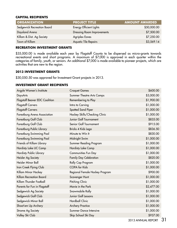# **Capital Recipients**

| <b>ORGANIZATION</b>        | <b>PROJECT TITLE</b>              | <b>AMOUNT AWARDED</b> |
|----------------------------|-----------------------------------|-----------------------|
| Sedgewick Recreation Board | Energy Efficient Lights           | \$50,000.00           |
| Daysland Arena             | <b>Dressing Room Improvements</b> | \$7,500.00            |
| Killam & Dist. Ag Society  | <b>Agriplex Eaves</b>             | \$7,250.00            |
| Town of Killam             | <b>Aquatic Tile Repairs</b>       | \$3,569.14            |

# **Recreation Investment Grants**

\$35,000.00 is made available each year by Flagstaff County to be dispersed as micro-grants towards recreational events and short programs. A maximum of \$7,000 is approved in each quarter within the categories of family, youth, or seniors. An additional \$7,000 is made available to pioneer projects, which are activities that are new to the region.

#### **2013 Investment Grants**

\$30,050.50 was approved for Investment Grant projects in 2013.

# **Investment Grant Recipients**

| Argyle Women's Institute       | <b>Croquet Games</b>             | \$600.00   |
|--------------------------------|----------------------------------|------------|
| DaysArts                       | <b>Summer Theatre Arts Camps</b> | \$3,000.00 |
| Flagstaff Beaver EDC Coalition | Remembering to Play              | \$1,900.00 |
| <b>Flagstaff Carvers</b>       | Intro to Carving                 | \$1,000.00 |
| <b>Flagstaff Carvers</b>       | Spotted Sand Piper               | \$1,000.00 |
| Forestburg Arena Association   | Hockey Skills/Checking Clinic    | \$1,000.00 |
| Forestburg Golf Club           | Junior Golf Tournament           | \$835.00   |
| Forestburg Golf Club           | Senior Golf Tournament           | \$915.00   |
| Forestburg Public Library      | Bricks 4 Kids Lego               | \$836.50   |
| Forestburg Swimming Pool       | Minute to Win It                 | \$830.00   |
| Forestburg Swimming Pool       | Midnight Swim                    | \$1,000.00 |
| Friends of Killam Library      | Summer Reading Program           | \$1,000.00 |
| Hardisty Lake UC Camp          | <b>Hardisty Lake Camp</b>        | \$1,000.00 |
| Hardisty Public Library        | Communities Fun Day              | \$1,000.00 |
| Heisler Ag Society             | Family Day Celebration           | \$820.00   |
| Heisler Minor Ball             | Rally Cap Program                | \$1,000.00 |
| Iron Creek Flying Club         | <b>COPA</b> for Kids             | \$1,000.00 |
| Killam Minor Hockey            | Regional Female Hockey Program   | \$900.00   |
| Killam Recreation Board        | Scavenger Hunt                   | \$1,000.00 |
| Killam Thunder Fastball        | Pitching Clinic                  | \$1,000.00 |
| Parents for Fun in Flagstaff   | Movie in the Park                | \$2,477.00 |
| Sedgewick Ag Society           | Snowmobile Rally                 | \$1,000.00 |
| Sedgewick Golf Club            | Junior Golf Lessons              | \$1,000.00 |
| Sedgewick Minor Ball           | <b>Hardball Clinic</b>           | \$1,000.00 |
| Shoot'em Up Archery            | <b>Archery Practice</b>          | \$1,000.00 |
| Strome Ag Society              | Summer Dance Intensive           | \$1,000.00 |
| Valley Ski Club                | Skip School Ski Day              | \$937.00   |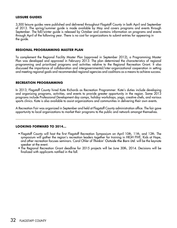# **Leisure Guides**

3,500 leisure guides were published and delivered throughout Flagstaff County in both April and September of 2013. The spring/summer guide is made available by May and covers programs and events through September. The fall/winter guide is released by October and contains information on programs and events through April of the following year. There is no cost for organizations to submit entries for appearing in the guide.

#### **Regional Programming Master Plan**

To complement the Regional Facility Master Plan (approved in September 2012), a Programming Master Plan was developed and approved in February 2013. The plan determined the characteristics of regional programming and prioritized programs and activities relative to the Regional Recreation Grant. It also discussed the importance of collaboration and intergovernmental/inter-organizational cooperation in setting and meeting regional goals and recommended regional agencies and coalitions as a means to achieve success.

#### **Recreation Programming**

In 2013, Flagstaff County hired Kate Richards as Recreation Programmer. Kate's duties include developing and organizing programs, activities, and events to provide greater opportunity in the region. Some 2013 programs include Professional Development day camps, holiday workshops, yoga, creative chefs, and various sports clinics. Kate is also available to assist organizations and communities in delivering their own events.

A Recreation Fair was organized in September and held at Flagstaff County administration office. The fair gave opportunity to local organizations to market their programs to the public and network amongst themselves.

#### **Looking FORWARD to 2014…**

- Flagstaff County will host the first Flagstaff Recreation Symposium on April 10th, 11th, and 12th. The symposium will gather the region's recreation leaders together for training in HIGH FIVE, Kids at Hope, and other recreation focuses seminars. Carol Ohler of *Thinkin' Outside the Barn Ltd.* will be the keynote speaker at the event.
- The Regional Recreation Grant deadline for 2015 projects will be June 30th, 2014. Decisions will be finalized with applicants notified in the fall.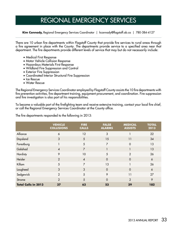# REGIONAL EMERGENCY SERVICES

**Kim Cannady,** Regional Emergency Services Coordinator | kcannady@flagstaff.ab.ca | 780-384-4127

There are 10 urban fire departments within Flagstaff County that provide fire services to rural areas through a fire agreement in place with the County. The departments provide service to a specified area near that department. The fire departments provide different levels of service that may but do not necessarily include:

- Medical First Response
- • Motor Vehicle Collision Response
- • Hazardous Materials First Response
- • Wildland Fire Suppression and Control
- Exterior Fire Suppression
- Coordinated Interior Structural Fire Suppression
- Ice Rescue
- • Water Rescue

The Regional Emergency Services Coordinator employed by Flagstaff County assists the 10 fire departments with fire prevention activities, fire department training, equipment procurement, and coordination. Fire suppression and fire investigation is also part of his responsibilities.

To become a valuable part of the firefighting team and receive extensive training, contact your local fire chief, or call the Regional Emergency Services Coordinator at the County office.

|  | The fire departments responded to the following in 2013: $\,$ |
|--|---------------------------------------------------------------|
|--|---------------------------------------------------------------|

|                            | <b>VEHICLE</b><br><b>COLLISIONS</b> | <b>FIRE</b><br><b>CALLS</b> | <b>FALSE</b><br><b>ALARMS</b> | <b>MEDICAL</b><br><b>ASSISTS</b> | <b>TOTAL</b><br>2013 |
|----------------------------|-------------------------------------|-----------------------------|-------------------------------|----------------------------------|----------------------|
| Alliance                   | 6                                   | 12                          | 3                             |                                  | 22                   |
| Daysland                   | 3                                   | 5                           | 15                            | 11                               | 34                   |
| Forestburg                 |                                     | 5                           | 7                             | $\Omega$                         | 13                   |
| Galahad                    | $\overline{4}$                      | 7                           |                               |                                  | 13                   |
| Hardisty                   | 9                                   | 10                          | 5                             | $\overline{2}$                   | 26                   |
| Heisler                    | $\overline{2}$                      | $\overline{4}$              | $\Omega$                      | $\Omega$                         | 6                    |
| Killam                     | 5                                   | $\overline{7}$              | 13                            |                                  | 26                   |
| Lougheed                   | 3                                   | 3                           | $\Omega$                      | $\overline{0}$                   | 6                    |
| Sedgewick                  | $\overline{2}$                      | 5                           | 9                             | 11                               | 27                   |
| Strome                     | $\overline{2}$                      | 5                           | $\Omega$                      | $\mathcal{P}$                    | 9                    |
| <b>Total Calls in 2013</b> | 37                                  | 63                          | 53                            | 29                               | 182                  |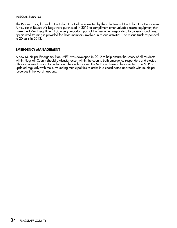#### **RESCUE SERVICE**

The Rescue Truck, located in the Killam Fire Hall, is operated by the volunteers of the Killam Fire Department. A new set of Rescue Air Bags were purchased in 2013 to compliment other valuable rescue equipment that make the 1996 Freightliner FL80 a very important part of the fleet when responding to collisions and fires. Specialized training is provided for those members involved in rescue activities. The rescue truck responded to 20 calls in 2013.

#### **EMERGENCY MANAGEMENT**

A new Municipal Emergency Plan (MEP) was developed in 2012 to help ensure the safety of all residents within Flagstaff County should a disaster occur within the county. Both emergency responders and elected officials receive training to understand their roles should the MEP ever have to be activated. The MEP is updated regularly with the surrounding municipalities to assist in a coordinated approach with municipal resources if the worst happens.